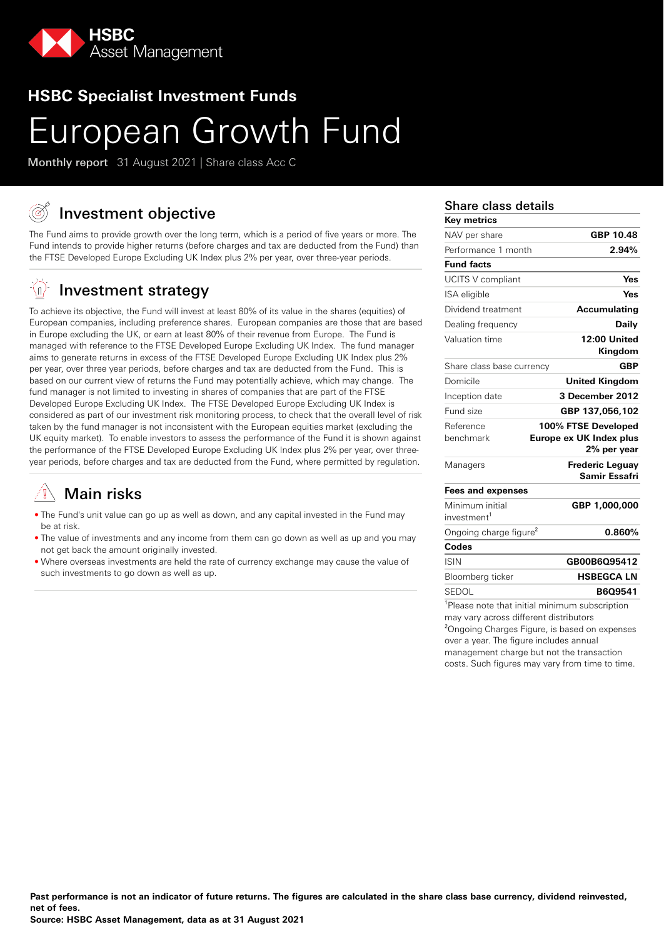

## **HSBC Specialist Investment Funds**

# European Growth Fund

Monthly report 31 August 2021 | Share class Acc C

# Investment objective

The Fund aims to provide growth over the long term, which is a period of five years or more. The Fund intends to provide higher returns (before charges and tax are deducted from the Fund) than the FTSE Developed Europe Excluding UK Index plus 2% per year, over three-year periods.

#### -(n) Investment strategy

To achieve its objective, the Fund will invest at least 80% of its value in the shares (equities) of European companies, including preference shares. European companies are those that are based in Europe excluding the UK, or earn at least 80% of their revenue from Europe. The Fund is managed with reference to the FTSE Developed Europe Excluding UK Index. The fund manager aims to generate returns in excess of the FTSE Developed Europe Excluding UK Index plus 2% per year, over three year periods, before charges and tax are deducted from the Fund. This is based on our current view of returns the Fund may potentially achieve, which may change. The fund manager is not limited to investing in shares of companies that are part of the FTSE Developed Europe Excluding UK Index. The FTSE Developed Europe Excluding UK Index is considered as part of our investment risk monitoring process, to check that the overall level of risk taken by the fund manager is not inconsistent with the European equities market (excluding the UK equity market). To enable investors to assess the performance of the Fund it is shown against the performance of the FTSE Developed Europe Excluding UK Index plus 2% per year, over threeyear periods, before charges and tax are deducted from the Fund, where permitted by regulation.

# Main risks

- The Fund's unit value can go up as well as down, and any capital invested in the Fund may be at risk.
- The value of investments and any income from them can go down as well as up and you may not get back the amount originally invested.
- Where overseas investments are held the rate of currency exchange may cause the value of such investments to go down as well as up.

### Share class details

| <b>Key metrics</b>                 |                                                   |
|------------------------------------|---------------------------------------------------|
| NAV per share                      | GBP 10.48                                         |
| Performance 1 month                | 2.94%                                             |
| <b>Fund facts</b>                  |                                                   |
| UCITS V compliant                  | Yes                                               |
| ISA eligible                       | Yes                                               |
| Dividend treatment                 | <b>Accumulating</b>                               |
| Dealing frequency                  | Daily                                             |
| Valuation time                     | 12:00 United<br>Kingdom                           |
| Share class base currency          | <b>GBP</b>                                        |
| Domicile                           | <b>United Kingdom</b>                             |
| Inception date                     | 3 December 2012                                   |
| Fund size                          | GBP 137,056,102                                   |
| Reference<br>benchmark             | 100% FTSE Developed                               |
|                                    | Europe ex UK Index plus<br>2% per year            |
| Managers                           | <b>Frederic Leguay</b><br>Samir Essafri           |
| <b>Fees and expenses</b>           |                                                   |
| Minimum initial                    | GBP 1,000,000                                     |
| investment <sup>1</sup>            |                                                   |
| Ongoing charge figure <sup>2</sup> | 0.860%                                            |
| Codes                              |                                                   |
| <b>ISIN</b>                        | GB00B6Q95412                                      |
| Bloomberg ticker                   | <b>HSBEGCA LN</b>                                 |
| SEDOL                              | B6Q9541                                           |
|                                    | $1$ Please note that initial minimum subscription |

<sup>1</sup>Please note that initial minimum subscription may vary across different distributors <sup>2</sup>Ongoing Charges Figure, is based on expenses over a year. The figure includes annual management charge but not the transaction costs. Such figures may vary from time to time.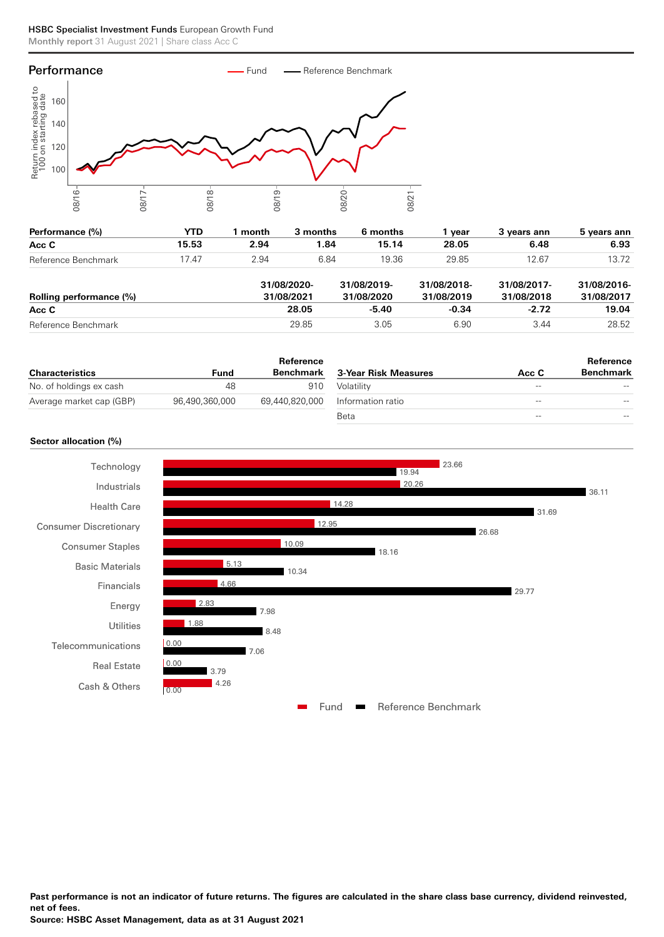

| Performance (%)         | <b>YTD</b> | month                     | 3 months | 6 months                  | 1 vear                    | 3 years ann               | 5 years ann               |
|-------------------------|------------|---------------------------|----------|---------------------------|---------------------------|---------------------------|---------------------------|
| Acc C                   | 15.53      | 2.94                      | 1.84     | 15.14                     | 28.05                     | 6.48                      | 6.93                      |
| Reference Benchmark     | 17.47      | 2.94                      | 6.84     | 19.36                     | 29.85                     | 12.67                     | 13.72                     |
| Rolling performance (%) |            | 31/08/2020-<br>31/08/2021 |          | 31/08/2019-<br>31/08/2020 | 31/08/2018-<br>31/08/2019 | 31/08/2017-<br>31/08/2018 | 31/08/2016-<br>31/08/2017 |
| Acc C                   |            |                           | 28.05    | $-5.40$                   | $-0.34$                   | $-2.72$                   | 19.04                     |
| Reference Benchmark     |            |                           | 29.85    | 3.05                      | 6.90                      | 3.44                      | 28.52                     |

|                          |                | Reference      |                      |       | Reference        |
|--------------------------|----------------|----------------|----------------------|-------|------------------|
| <b>Characteristics</b>   | Fund           | Benchmark      | 3-Year Risk Measures | Acc C | <b>Benchmark</b> |
| No. of holdings ex cash  | 48             | 910            | Volatility           | $- -$ | $- -$            |
| Average market cap (GBP) | 96.490.360.000 | 69.440.820.000 | Information ratio    | $- -$ | $- -$            |
|                          |                |                | Beta                 | $- -$ | $- -$            |

### **Sector allocation (%)**



**Past performance is not an indicator of future returns. The figures are calculated in the share class base currency, dividend reinvested, net of fees.**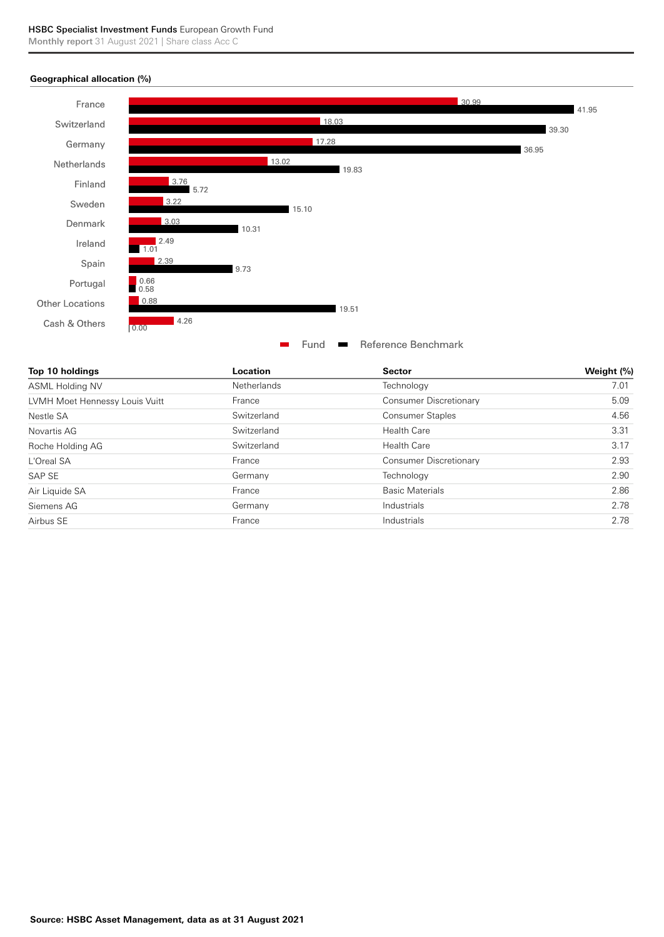### **Geographical allocation (%)**



| Top 10 holdings                | Location           | <b>Sector</b>           | Weight (%) |
|--------------------------------|--------------------|-------------------------|------------|
| <b>ASML Holding NV</b>         | <b>Netherlands</b> | Technology              | 7.01       |
| LVMH Moet Hennessy Louis Vuitt | France             | Consumer Discretionary  | 5.09       |
| Nestle SA                      | Switzerland        | <b>Consumer Staples</b> | 4.56       |
| Novartis AG                    | Switzerland        | <b>Health Care</b>      | 3.31       |
| Roche Holding AG               | Switzerland        | <b>Health Care</b>      | 3.17       |
| L'Oreal SA                     | France             | Consumer Discretionary  | 2.93       |
| SAP SE                         | Germany            | Technology              | 2.90       |
| Air Liquide SA                 | France             | <b>Basic Materials</b>  | 2.86       |
| Siemens AG                     | Germany            | Industrials             | 2.78       |
| Airbus SE                      | France             | Industrials             | 2.78       |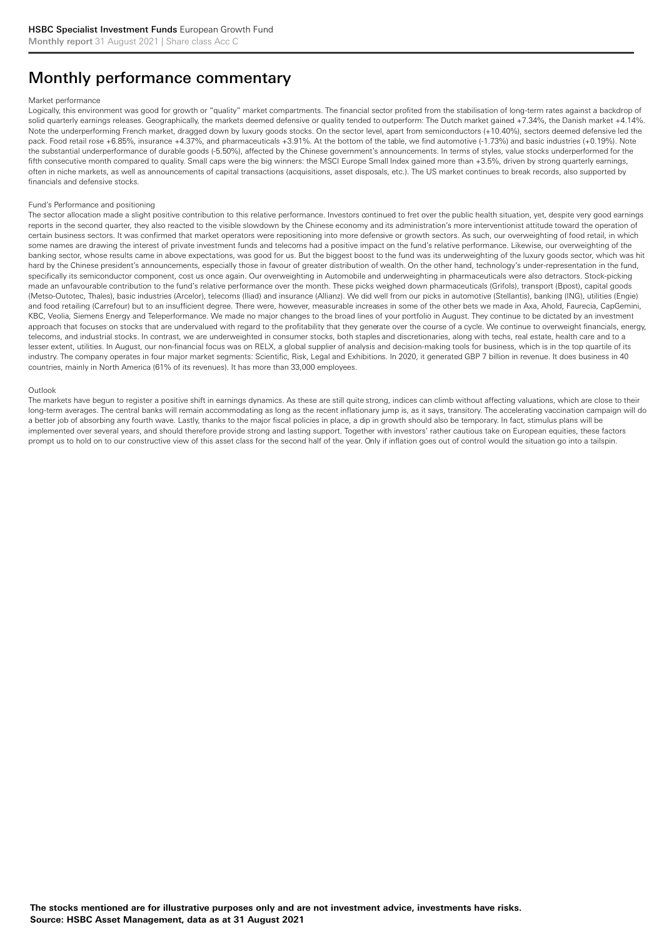# Monthly performance commentary

#### Market performance

Logically, this environment was good for growth or "quality" market compartments. The financial sector profited from the stabilisation of long-term rates against a backdrop of solid quarterly earnings releases. Geographically, the markets deemed defensive or quality tended to outperform: The Dutch market gained +7.34%, the Danish market +4.14%. Note the underperforming French market, dragged down by luxury goods stocks. On the sector level, apart from semiconductors (+10.40%), sectors deemed defensive led the pack. Food retail rose +6.85%, insurance +4.37%, and pharmaceuticals +3.91%. At the bottom of the table, we find automotive (-1.73%) and basic industries (+0.19%). Note the substantial underperformance of durable goods (-5.50%), affected by the Chinese government's announcements. In terms of styles, value stocks underperformed for the fifth consecutive month compared to quality. Small caps were the big winners: the MSCI Europe Small Index gained more than +3.5%, driven by strong quarterly earnings, often in niche markets, as well as announcements of capital transactions (acquisitions, asset disposals, etc.). The US market continues to break records, also supported by financials and defensive stocks.

#### Fund's Performance and positioning

The sector allocation made a slight positive contribution to this relative performance. Investors continued to fret over the public health situation, yet, despite very good earnings reports in the second quarter, they also reacted to the visible slowdown by the Chinese economy and its administration's more interventionist attitude toward the operation of certain business sectors. It was confirmed that market operators were repositioning into more defensive or growth sectors. As such, our overweighting of food retail, in which some names are drawing the interest of private investment funds and telecoms had a positive impact on the fund's relative performance. Likewise, our overweighting of the banking sector, whose results came in above expectations, was good for us. But the biggest boost to the fund was its underweighting of the luxury goods sector, which was hit hard by the Chinese president's announcements, especially those in favour of greater distribution of wealth. On the other hand, technology's under-representation in the fund, specifically its semiconductor component, cost us once again. Our overweighting in Automobile and underweighting in pharmaceuticals were also detractors. Stock-picking made an unfavourable contribution to the fund's relative performance over the month. These picks weighed down pharmaceuticals (Grifols), transport (Bpost), capital goods (Metso-Outotec, Thales), basic industries (Arcelor), telecoms (Iliad) and insurance (Allianz). We did well from our picks in automotive (Stellantis), banking (ING), utilities (Engie) and food retailing (Carrefour) but to an insufficient degree. There were, however, measurable increases in some of the other bets we made in Axa, Ahold, Faurecia, CapGemini, KBC, Veolia, Siemens Energy and Teleperformance. We made no major changes to the broad lines of your portfolio in August. They continue to be dictated by an investment approach that focuses on stocks that are undervalued with regard to the profitability that they generate over the course of a cycle. We continue to overweight financials, energy, telecoms, and industrial stocks. In contrast, we are underweighted in consumer stocks, both staples and discretionaries, along with techs, real estate, health care and to a lesser extent, utilities. In August, our non-financial focus was on RELX, a global supplier of analysis and decision-making tools for business, which is in the top quartile of its industry. The company operates in four major market segments: Scientific, Risk, Legal and Exhibitions. In 2020, it generated GBP 7 billion in revenue. It does business in 40 countries, mainly in North America (61% of its revenues). It has more than 33,000 employees.

#### Outlook

The markets have begun to register a positive shift in earnings dynamics. As these are still quite strong, indices can climb without affecting valuations, which are close to their long-term averages. The central banks will remain accommodating as long as the recent inflationary jump is, as it says, transitory. The accelerating vaccination campaign will do a better job of absorbing any fourth wave. Lastly, thanks to the major fiscal policies in place, a dip in growth should also be temporary. In fact, stimulus plans will be implemented over several years, and should therefore provide strong and lasting support. Together with investors' rather cautious take on European equities, these factors prompt us to hold on to our constructive view of this asset class for the second half of the year. Only if inflation goes out of control would the situation go into a tailspin.